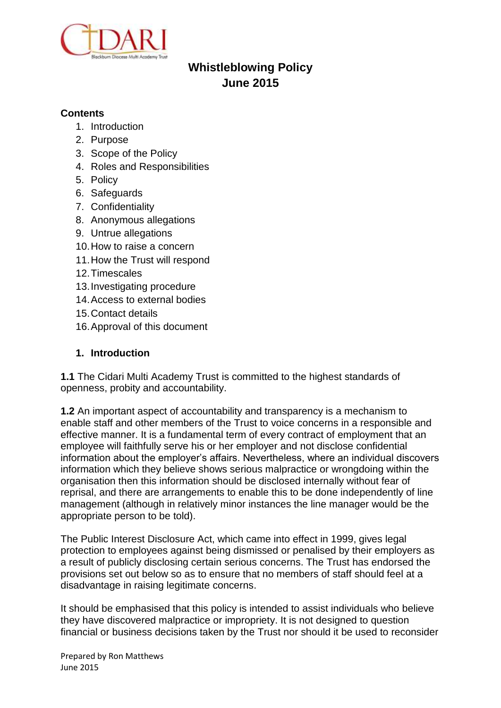

# **Whistleblowing Policy June 2015**

#### **Contents**

- 1. Introduction
- 2. Purpose
- 3. Scope of the Policy
- 4. Roles and Responsibilities
- 5. Policy
- 6. Safeguards
- 7. Confidentiality
- 8. Anonymous allegations
- 9. Untrue allegations
- 10.How to raise a concern
- 11.How the Trust will respond
- 12.Timescales
- 13.Investigating procedure
- 14.Access to external bodies
- 15.Contact details
- 16.Approval of this document

#### **1. Introduction**

**1.1** The Cidari Multi Academy Trust is committed to the highest standards of openness, probity and accountability.

**1.2** An important aspect of accountability and transparency is a mechanism to enable staff and other members of the Trust to voice concerns in a responsible and effective manner. It is a fundamental term of every contract of employment that an employee will faithfully serve his or her employer and not disclose confidential information about the employer's affairs. Nevertheless, where an individual discovers information which they believe shows serious malpractice or wrongdoing within the organisation then this information should be disclosed internally without fear of reprisal, and there are arrangements to enable this to be done independently of line management (although in relatively minor instances the line manager would be the appropriate person to be told).

The Public Interest Disclosure Act, which came into effect in 1999, gives legal protection to employees against being dismissed or penalised by their employers as a result of publicly disclosing certain serious concerns. The Trust has endorsed the provisions set out below so as to ensure that no members of staff should feel at a disadvantage in raising legitimate concerns.

It should be emphasised that this policy is intended to assist individuals who believe they have discovered malpractice or impropriety. It is not designed to question financial or business decisions taken by the Trust nor should it be used to reconsider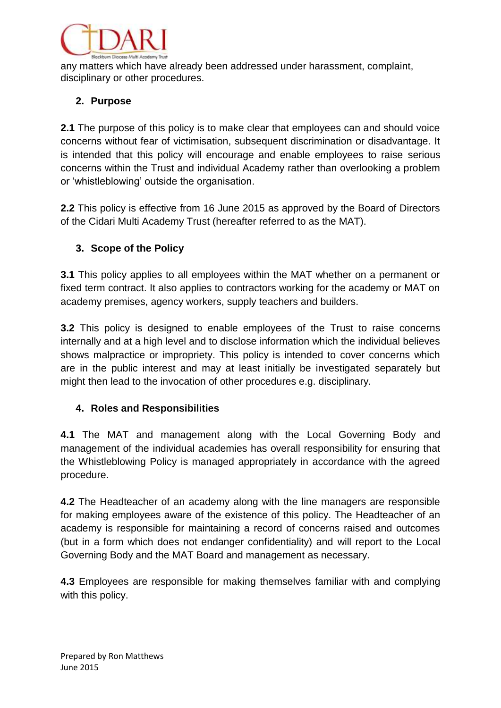

any matters which have already been addressed under harassment, complaint, disciplinary or other procedures.

# **2. Purpose**

**2.1** The purpose of this policy is to make clear that employees can and should voice concerns without fear of victimisation, subsequent discrimination or disadvantage. It is intended that this policy will encourage and enable employees to raise serious concerns within the Trust and individual Academy rather than overlooking a problem or 'whistleblowing' outside the organisation.

**2.2** This policy is effective from 16 June 2015 as approved by the Board of Directors of the Cidari Multi Academy Trust (hereafter referred to as the MAT).

# **3. Scope of the Policy**

**3.1** This policy applies to all employees within the MAT whether on a permanent or fixed term contract. It also applies to contractors working for the academy or MAT on academy premises, agency workers, supply teachers and builders.

**3.2** This policy is designed to enable employees of the Trust to raise concerns internally and at a high level and to disclose information which the individual believes shows malpractice or impropriety. This policy is intended to cover concerns which are in the public interest and may at least initially be investigated separately but might then lead to the invocation of other procedures e.g. disciplinary.

# **4. Roles and Responsibilities**

**4.1** The MAT and management along with the Local Governing Body and management of the individual academies has overall responsibility for ensuring that the Whistleblowing Policy is managed appropriately in accordance with the agreed procedure.

**4.2** The Headteacher of an academy along with the line managers are responsible for making employees aware of the existence of this policy. The Headteacher of an academy is responsible for maintaining a record of concerns raised and outcomes (but in a form which does not endanger confidentiality) and will report to the Local Governing Body and the MAT Board and management as necessary.

**4.3** Employees are responsible for making themselves familiar with and complying with this policy.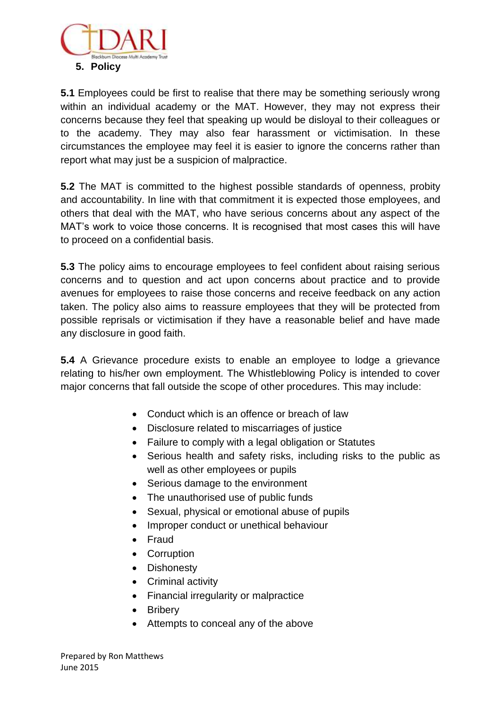

**5.1** Employees could be first to realise that there may be something seriously wrong within an individual academy or the MAT. However, they may not express their concerns because they feel that speaking up would be disloyal to their colleagues or to the academy. They may also fear harassment or victimisation. In these circumstances the employee may feel it is easier to ignore the concerns rather than report what may just be a suspicion of malpractice.

**5.2** The MAT is committed to the highest possible standards of openness, probity and accountability. In line with that commitment it is expected those employees, and others that deal with the MAT, who have serious concerns about any aspect of the MAT's work to voice those concerns. It is recognised that most cases this will have to proceed on a confidential basis.

**5.3** The policy aims to encourage employees to feel confident about raising serious concerns and to question and act upon concerns about practice and to provide avenues for employees to raise those concerns and receive feedback on any action taken. The policy also aims to reassure employees that they will be protected from possible reprisals or victimisation if they have a reasonable belief and have made any disclosure in good faith.

**5.4** A Grievance procedure exists to enable an employee to lodge a grievance relating to his/her own employment. The Whistleblowing Policy is intended to cover major concerns that fall outside the scope of other procedures. This may include:

- Conduct which is an offence or breach of law
- Disclosure related to miscarriages of justice
- Failure to comply with a legal obligation or Statutes
- Serious health and safety risks, including risks to the public as well as other employees or pupils
- Serious damage to the environment
- The unauthorised use of public funds
- Sexual, physical or emotional abuse of pupils
- Improper conduct or unethical behaviour
- Fraud
- Corruption
- Dishonesty
- Criminal activity
- Financial irregularity or malpractice
- Bribery
- Attempts to conceal any of the above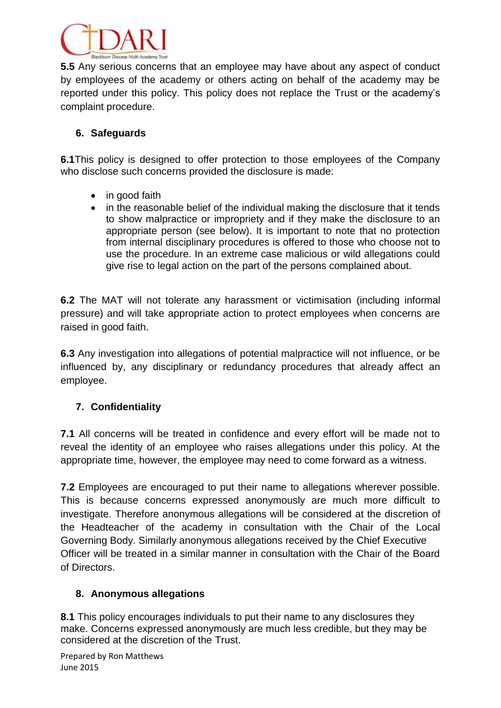

**5.5** Any serious concerns that an employee may have about any aspect of conduct by employees of the academy or others acting on behalf of the academy may be reported under this policy. This policy does not replace the Trust or the academy's complaint procedure.

## **6. Safeguards**

**6.1**This policy is designed to offer protection to those employees of the Company who disclose such concerns provided the disclosure is made:

- in good faith
- in the reasonable belief of the individual making the disclosure that it tends to show malpractice or impropriety and if they make the disclosure to an appropriate person (see below). It is important to note that no protection from internal disciplinary procedures is offered to those who choose not to use the procedure. In an extreme case malicious or wild allegations could give rise to legal action on the part of the persons complained about.

**6.2** The MAT will not tolerate any harassment or victimisation (including informal pressure) and will take appropriate action to protect employees when concerns are raised in good faith.

**6.3** Any investigation into allegations of potential malpractice will not influence, or be influenced by, any disciplinary or redundancy procedures that already affect an employee.

# **7. Confidentiality**

**7.1** All concerns will be treated in confidence and every effort will be made not to reveal the identity of an employee who raises allegations under this policy. At the appropriate time, however, the employee may need to come forward as a witness.

**7.2** Employees are encouraged to put their name to allegations wherever possible. This is because concerns expressed anonymously are much more difficult to investigate. Therefore anonymous allegations will be considered at the discretion of the Headteacher of the academy in consultation with the Chair of the Local Governing Body. Similarly anonymous allegations received by the Chief Executive Officer will be treated in a similar manner in consultation with the Chair of the Board of Directors.

## **8. Anonymous allegations**

**8.1** This policy encourages individuals to put their name to any disclosures they make. Concerns expressed anonymously are much less credible, but they may be considered at the discretion of the Trust.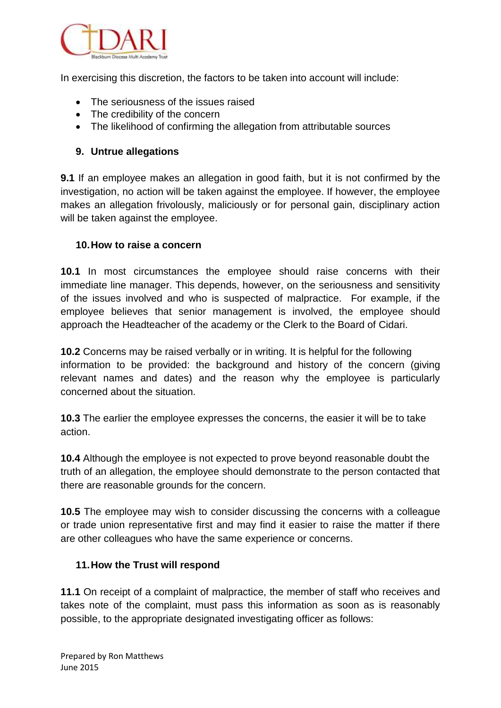

In exercising this discretion, the factors to be taken into account will include:

- The seriousness of the issues raised
- The credibility of the concern
- The likelihood of confirming the allegation from attributable sources

## **9. Untrue allegations**

**9.1** If an employee makes an allegation in good faith, but it is not confirmed by the investigation, no action will be taken against the employee. If however, the employee makes an allegation frivolously, maliciously or for personal gain, disciplinary action will be taken against the employee.

## **10.How to raise a concern**

**10.1** In most circumstances the employee should raise concerns with their immediate line manager. This depends, however, on the seriousness and sensitivity of the issues involved and who is suspected of malpractice. For example, if the employee believes that senior management is involved, the employee should approach the Headteacher of the academy or the Clerk to the Board of Cidari.

**10.2** Concerns may be raised verbally or in writing. It is helpful for the following information to be provided: the background and history of the concern (giving relevant names and dates) and the reason why the employee is particularly concerned about the situation.

**10.3** The earlier the employee expresses the concerns, the easier it will be to take action.

**10.4** Although the employee is not expected to prove beyond reasonable doubt the truth of an allegation, the employee should demonstrate to the person contacted that there are reasonable grounds for the concern.

**10.5** The employee may wish to consider discussing the concerns with a colleague or trade union representative first and may find it easier to raise the matter if there are other colleagues who have the same experience or concerns.

## **11.How the Trust will respond**

**11.1** On receipt of a complaint of malpractice, the member of staff who receives and takes note of the complaint, must pass this information as soon as is reasonably possible, to the appropriate designated investigating officer as follows: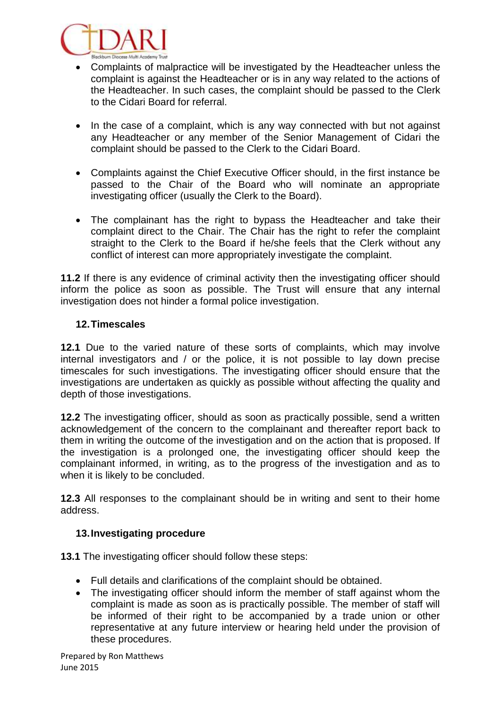

- Complaints of malpractice will be investigated by the Headteacher unless the complaint is against the Headteacher or is in any way related to the actions of the Headteacher. In such cases, the complaint should be passed to the Clerk to the Cidari Board for referral.
- In the case of a complaint, which is any way connected with but not against any Headteacher or any member of the Senior Management of Cidari the complaint should be passed to the Clerk to the Cidari Board.
- Complaints against the Chief Executive Officer should, in the first instance be passed to the Chair of the Board who will nominate an appropriate investigating officer (usually the Clerk to the Board).
- The complainant has the right to bypass the Headteacher and take their complaint direct to the Chair. The Chair has the right to refer the complaint straight to the Clerk to the Board if he/she feels that the Clerk without any conflict of interest can more appropriately investigate the complaint.

**11.2** If there is any evidence of criminal activity then the investigating officer should inform the police as soon as possible. The Trust will ensure that any internal investigation does not hinder a formal police investigation.

#### **12.Timescales**

**12.1** Due to the varied nature of these sorts of complaints, which may involve internal investigators and / or the police, it is not possible to lay down precise timescales for such investigations. The investigating officer should ensure that the investigations are undertaken as quickly as possible without affecting the quality and depth of those investigations.

**12.2** The investigating officer, should as soon as practically possible, send a written acknowledgement of the concern to the complainant and thereafter report back to them in writing the outcome of the investigation and on the action that is proposed. If the investigation is a prolonged one, the investigating officer should keep the complainant informed, in writing, as to the progress of the investigation and as to when it is likely to be concluded.

**12.3** All responses to the complainant should be in writing and sent to their home address.

#### **13.Investigating procedure**

**13.1** The investigating officer should follow these steps:

- Full details and clarifications of the complaint should be obtained.
- The investigating officer should inform the member of staff against whom the complaint is made as soon as is practically possible. The member of staff will be informed of their right to be accompanied by a trade union or other representative at any future interview or hearing held under the provision of these procedures.

Prepared by Ron Matthews June 2015